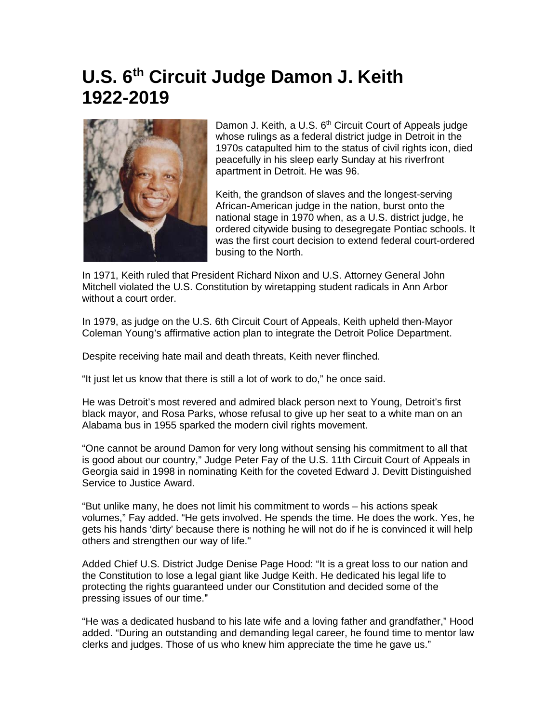## **U.S. 6th Circuit Judge Damon J. Keith 1922-2019**



Damon J. Keith, a U.S. 6<sup>th</sup> Circuit Court of Appeals judge whose rulings as a federal district judge in Detroit in the 1970s catapulted him to the status of civil rights icon, died peacefully in his sleep early Sunday at his riverfront apartment in Detroit. He was 96.

Keith, the grandson of slaves and the longest-serving African-American judge in the nation, burst onto the national stage in 1970 when, as a U.S. district judge, he ordered citywide busing to desegregate Pontiac schools. It was the first court decision to extend federal court-ordered busing to the North.

In 1971, Keith ruled that President Richard Nixon and U.S. Attorney General John Mitchell violated the U.S. Constitution by wiretapping student radicals in Ann Arbor without a court order.

In 1979, as judge on the U.S. 6th Circuit Court of Appeals, Keith upheld then-Mayor Coleman Young's affirmative action plan to integrate the Detroit Police Department.

Despite receiving hate mail and death threats, Keith never flinched.

"It just let us know that there is still a lot of work to do," he once said.

He was Detroit's most revered and admired black person next to Young, Detroit's first black mayor, and Rosa Parks, whose refusal to give up her seat to a white man on an Alabama bus in 1955 sparked the modern civil rights movement.

"One cannot be around Damon for very long without sensing his commitment to all that is good about our country," Judge Peter Fay of the U.S. 11th Circuit Court of Appeals in Georgia said in 1998 in nominating Keith for the coveted Edward J. Devitt Distinguished Service to Justice Award.

"But unlike many, he does not limit his commitment to words – his actions speak volumes," Fay added. "He gets involved. He spends the time. He does the work. Yes, he gets his hands 'dirty' because there is nothing he will not do if he is convinced it will help others and strengthen our way of life."

Added Chief U.S. District Judge Denise Page Hood: "It is a great loss to our nation and the Constitution to lose a legal giant like Judge Keith. He dedicated his legal life to protecting the rights guaranteed under our Constitution and decided some of the pressing issues of our time."

"He was a dedicated husband to his late wife and a loving father and grandfather," Hood added. "During an outstanding and demanding legal career, he found time to mentor law clerks and judges. Those of us who knew him appreciate the time he gave us."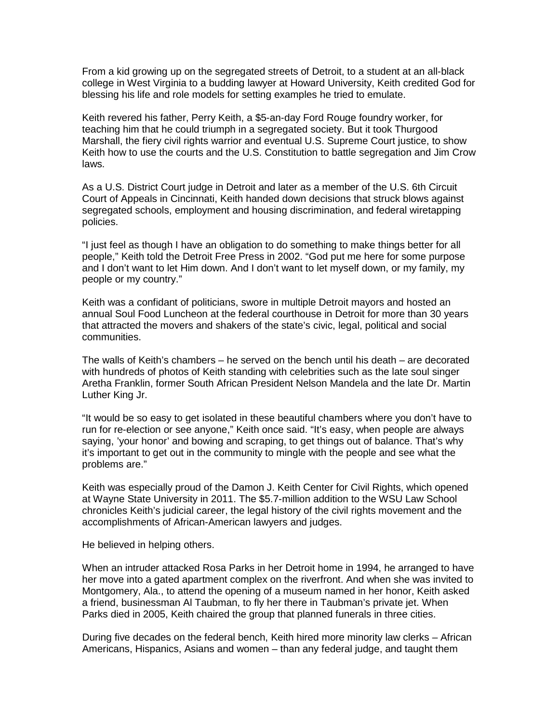From a kid growing up on the segregated streets of Detroit, to a student at an all-black college in West Virginia to a budding lawyer at Howard University, Keith credited God for blessing his life and role models for setting examples he tried to emulate.

Keith revered his father, Perry Keith, a \$5-an-day Ford Rouge foundry worker, for teaching him that he could triumph in a segregated society. But it took Thurgood Marshall, the fiery civil rights warrior and eventual U.S. Supreme Court justice, to show Keith how to use the courts and the U.S. Constitution to battle segregation and Jim Crow laws.

As a U.S. District Court judge in Detroit and later as a member of the U.S. 6th Circuit Court of Appeals in Cincinnati, Keith handed down decisions that struck blows against segregated schools, employment and housing discrimination, and federal wiretapping policies.

"I just feel as though I have an obligation to do something to make things better for all people," Keith told the Detroit Free Press in 2002. "God put me here for some purpose and I don't want to let Him down. And I don't want to let myself down, or my family, my people or my country."

Keith was a confidant of politicians, swore in multiple Detroit mayors and hosted an annual Soul Food Luncheon at the federal courthouse in Detroit for more than 30 years that attracted the movers and shakers of the state's civic, legal, political and social communities.

The walls of Keith's chambers – he served on the bench until his death – are decorated with hundreds of photos of Keith standing with celebrities such as the late soul singer Aretha Franklin, former South African President Nelson Mandela and the late Dr. Martin Luther King Jr.

"It would be so easy to get isolated in these beautiful chambers where you don't have to run for re-election or see anyone," Keith once said. "It's easy, when people are always saying, 'your honor' and bowing and scraping, to get things out of balance. That's why it's important to get out in the community to mingle with the people and see what the problems are."

Keith was especially proud of the Damon J. Keith Center for Civil Rights, which opened at Wayne State University in 2011. The \$5.7-million addition to the WSU Law School chronicles Keith's judicial career, the legal history of the civil rights movement and the accomplishments of African-American lawyers and judges.

He believed in helping others.

When an intruder attacked Rosa Parks in her Detroit home in 1994, he arranged to have her move into a gated apartment complex on the riverfront. And when she was invited to Montgomery, Ala., to attend the opening of a museum named in her honor, Keith asked a friend, businessman Al Taubman, to fly her there in Taubman's private jet. When Parks died in 2005, Keith chaired the group that planned funerals in three cities.

During five decades on the federal bench, Keith hired more minority law clerks – African Americans, Hispanics, Asians and women – than any federal judge, and taught them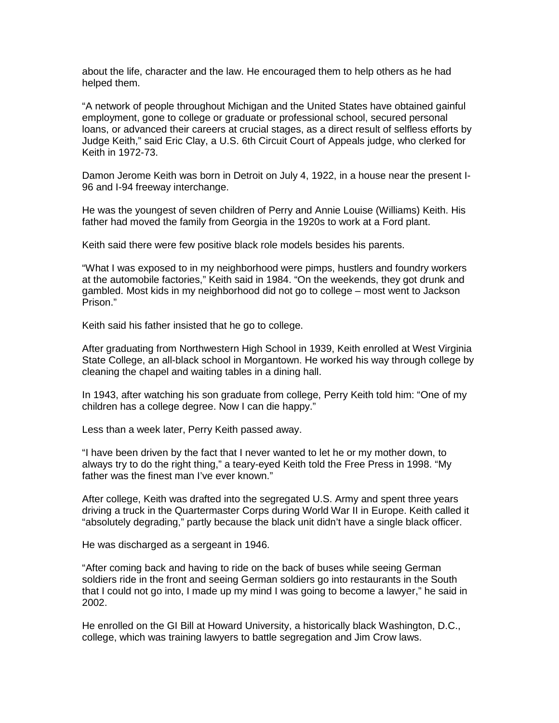about the life, character and the law. He encouraged them to help others as he had helped them.

"A network of people throughout Michigan and the United States have obtained gainful employment, gone to college or graduate or professional school, secured personal loans, or advanced their careers at crucial stages, as a direct result of selfless efforts by Judge Keith," said Eric Clay, a U.S. 6th Circuit Court of Appeals judge, who clerked for Keith in 1972-73.

Damon Jerome Keith was born in Detroit on July 4, 1922, in a house near the present I-96 and I-94 freeway interchange.

He was the youngest of seven children of Perry and Annie Louise (Williams) Keith. His father had moved the family from Georgia in the 1920s to work at a Ford plant.

Keith said there were few positive black role models besides his parents.

"What I was exposed to in my neighborhood were pimps, hustlers and foundry workers at the automobile factories," Keith said in 1984. "On the weekends, they got drunk and gambled. Most kids in my neighborhood did not go to college – most went to Jackson Prison."

Keith said his father insisted that he go to college.

After graduating from Northwestern High School in 1939, Keith enrolled at West Virginia State College, an all-black school in Morgantown. He worked his way through college by cleaning the chapel and waiting tables in a dining hall.

In 1943, after watching his son graduate from college, Perry Keith told him: "One of my children has a college degree. Now I can die happy."

Less than a week later, Perry Keith passed away.

"I have been driven by the fact that I never wanted to let he or my mother down, to always try to do the right thing," a teary-eyed Keith told the Free Press in 1998. "My father was the finest man I've ever known."

After college, Keith was drafted into the segregated U.S. Army and spent three years driving a truck in the Quartermaster Corps during World War II in Europe. Keith called it "absolutely degrading," partly because the black unit didn't have a single black officer.

He was discharged as a sergeant in 1946.

"After coming back and having to ride on the back of buses while seeing German soldiers ride in the front and seeing German soldiers go into restaurants in the South that I could not go into, I made up my mind I was going to become a lawyer," he said in 2002.

He enrolled on the GI Bill at Howard University, a historically black Washington, D.C., college, which was training lawyers to battle segregation and Jim Crow laws.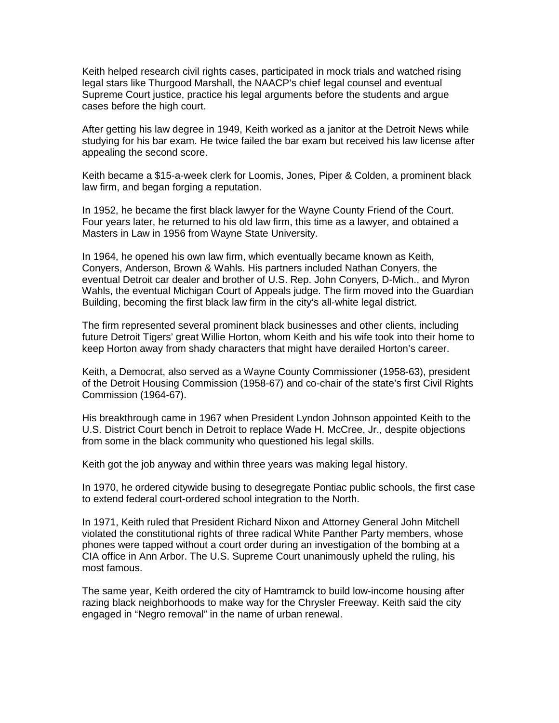Keith helped research civil rights cases, participated in mock trials and watched rising legal stars like Thurgood Marshall, the NAACP's chief legal counsel and eventual Supreme Court justice, practice his legal arguments before the students and argue cases before the high court.

After getting his law degree in 1949, Keith worked as a janitor at the Detroit News while studying for his bar exam. He twice failed the bar exam but received his law license after appealing the second score.

Keith became a \$15-a-week clerk for Loomis, Jones, Piper & Colden, a prominent black law firm, and began forging a reputation.

In 1952, he became the first black lawyer for the Wayne County Friend of the Court. Four years later, he returned to his old law firm, this time as a lawyer, and obtained a Masters in Law in 1956 from Wayne State University.

In 1964, he opened his own law firm, which eventually became known as Keith, Conyers, Anderson, Brown & Wahls. His partners included Nathan Conyers, the eventual Detroit car dealer and brother of U.S. Rep. John Conyers, D-Mich., and Myron Wahls, the eventual Michigan Court of Appeals judge. The firm moved into the Guardian Building, becoming the first black law firm in the city's all-white legal district.

The firm represented several prominent black businesses and other clients, including future Detroit Tigers' great Willie Horton, whom Keith and his wife took into their home to keep Horton away from shady characters that might have derailed Horton's career.

Keith, a Democrat, also served as a Wayne County Commissioner (1958-63), president of the Detroit Housing Commission (1958-67) and co-chair of the state's first Civil Rights Commission (1964-67).

His breakthrough came in 1967 when President Lyndon Johnson appointed Keith to the U.S. District Court bench in Detroit to replace Wade H. McCree, Jr., despite objections from some in the black community who questioned his legal skills.

Keith got the job anyway and within three years was making legal history.

In 1970, he ordered citywide busing to desegregate Pontiac public schools, the first case to extend federal court-ordered school integration to the North.

In 1971, Keith ruled that President Richard Nixon and Attorney General John Mitchell violated the constitutional rights of three radical White Panther Party members, whose phones were tapped without a court order during an investigation of the bombing at a CIA office in Ann Arbor. The U.S. Supreme Court unanimously upheld the ruling, his most famous.

The same year, Keith ordered the city of Hamtramck to build low-income housing after razing black neighborhoods to make way for the Chrysler Freeway. Keith said the city engaged in "Negro removal" in the name of urban renewal.